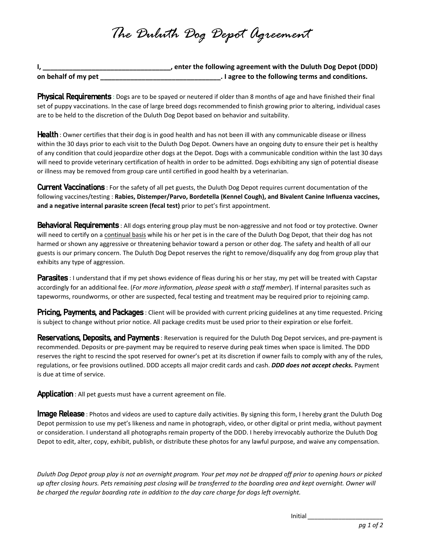## *The Duluth Dog Depot Agreement*

|                     | , enter the following agreement with the Duluth Dog Depot (DDD) |
|---------------------|-----------------------------------------------------------------|
| on behalf of my pet | . I agree to the following terms and conditions.                |

**Physical Requirements**: Dogs are to be spayed or neutered if older than 8 months of age and have finished their final set of puppy vaccinations. In the case of large breed dogs recommended to finish growing prior to altering, individual cases are to be held to the discretion of the Duluth Dog Depot based on behavior and suitability.

**Health**: Owner certifies that their dog is in good health and has not been ill with any communicable disease or illness within the 30 days prior to each visit to the Duluth Dog Depot. Owners have an ongoing duty to ensure their pet is healthy of any condition that could jeopardize other dogs at the Depot. Dogs with a communicable condition within the last 30 days will need to provide veterinary certification of health in order to be admitted. Dogs exhibiting any sign of potential disease or illness may be removed from group care until certified in good health by a veterinarian.

Current Vaccinations : For the safety of all pet guests, the Duluth Dog Depot requires current documentation of the following vaccines/testing : **Rabies, Distemper/Parvo, Bordetella (Kennel Cough), and Bivalent Canine Influenza vaccines, and a negative internal parasite screen (fecal test)** prior to pet's first appointment.

**Behavioral Requirements**: All dogs entering group play must be non-aggressive and not food or toy protective. Owner will need to certify on a continual basis while his or her pet is in the care of the Duluth Dog Depot, that their dog has not harmed or shown any aggressive or threatening behavior toward a person or other dog. The safety and health of all our guests is our primary concern. The Duluth Dog Depot reserves the right to remove/disqualify any dog from group play that exhibits any type of aggression.

**Parasites** : I understand that if my pet shows evidence of fleas during his or her stay, my pet will be treated with Capstar accordingly for an additional fee. (*For more information, please speak with a staff member*). If internal parasites such as tapeworms, roundworms, or other are suspected, fecal testing and treatment may be required prior to rejoining camp.

**Pricing, Payments, and Packages**: Client will be provided with current pricing guidelines at any time requested. Pricing is subject to change without prior notice. All package credits must be used prior to their expiration or else forfeit.

Reservations, Deposits, and Payments: Reservation is required for the Duluth Dog Depot services, and pre-payment is recommended. Deposits or pre-payment may be required to reserve during peak times when space is limited. The DDD reserves the right to rescind the spot reserved for owner's pet at its discretion if owner fails to comply with any of the rules, regulations, or fee provisions outlined. DDD accepts all major credit cards and cash. *DDD does not accept checks.* Payment is due at time of service.

**Application**: All pet guests must have a current agreement on file.

**Image Release** : Photos and videos are used to capture daily activities. By signing this form, I hereby grant the Duluth Dog Depot permission to use my pet's likeness and name in photograph, video, or other digital or print media, without payment or consideration. I understand all photographs remain property of the DDD. I hereby irrevocably authorize the Duluth Dog Depot to edit, alter, copy, exhibit, publish, or distribute these photos for any lawful purpose, and waive any compensation.

*Duluth Dog Depot group play is not an overnight program. Your pet may not be dropped off prior to opening hours or picked up after closing hours. Pets remaining past closing will be transferred to the boarding area and kept overnight. Owner will be charged the regular boarding rate in addition to the day care charge for dogs left overnight.* 

Initial *\_\_\_\_\_\_\_\_\_\_\_\_\_\_\_\_\_\_\_\_\_\_*